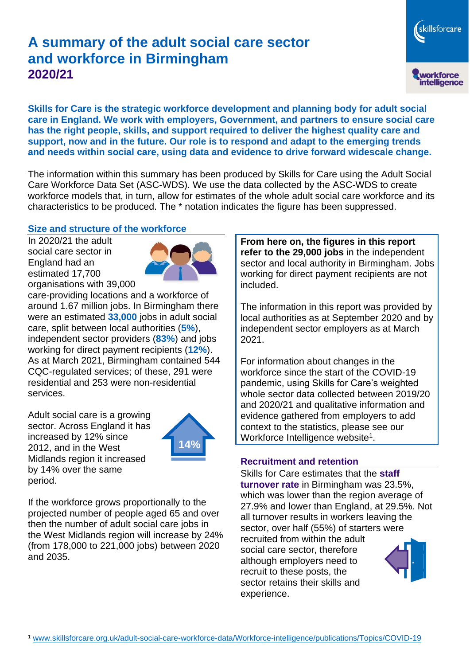# **A summary of the adult social care sector and workforce in Birmingham 2020/21**

skillsforcare workforce<br>intelligence

**Skills for Care is the strategic workforce development and planning body for adult social care in England. We work with employers, Government, and partners to ensure social care has the right people, skills, and support required to deliver the highest quality care and support, now and in the future. Our role is to respond and adapt to the emerging trends and needs within social care, using data and evidence to drive forward widescale change.**

The information within this summary has been produced by Skills for Care using the Adult Social Care Workforce Data Set (ASC-WDS). We use the data collected by the ASC-WDS to create workforce models that, in turn, allow for estimates of the whole adult social care workforce and its characteristics to be produced. The \* notation indicates the figure has been suppressed.

## **Size and structure of the workforce**

In 2020/21 the adult social care sector in England had an estimated 17,700 organisations with 39,000



care-providing locations and a workforce of around 1.67 million jobs. In Birmingham there were an estimated **33,000** jobs in adult social care, split between local authorities (**5%**), independent sector providers (**83%**) and jobs working for direct payment recipients (**12%**). As at March 2021, Birmingham contained 544 CQC-regulated services; of these, 291 were residential and 253 were non-residential services.

Adult social care is a growing sector. Across England it has increased by 12% since 2012, and in the West Midlands region it increased by 14% over the same period.



If the workforce grows proportionally to the projected number of people aged 65 and over then the number of adult social care jobs in the West Midlands region will increase by 24% (from 178,000 to 221,000 jobs) between 2020 and 2035.

**From here on, the figures in this report refer to the 29,000 jobs** in the independent sector and local authority in Birmingham. Jobs working for direct payment recipients are not included.

The information in this report was provided by local authorities as at September 2020 and by independent sector employers as at March 2021.

For information about changes in the workforce since the start of the COVID-19 pandemic, using Skills for Care's weighted whole sector data collected between 2019/20 and 2020/21 and qualitative information and evidence gathered from employers to add context to the statistics, please see our Workforce Intelligence website<sup>1</sup>.

## **Recruitment and retention**

Skills for Care estimates that the **staff turnover rate** in Birmingham was 23.5%, which was lower than the region average of 27.9% and lower than England, at 29.5%. Not all turnover results in workers leaving the sector, over half (55%) of starters were recruited from within the adult social care sector, therefore although employers need to recruit to these posts, the sector retains their skills and experience.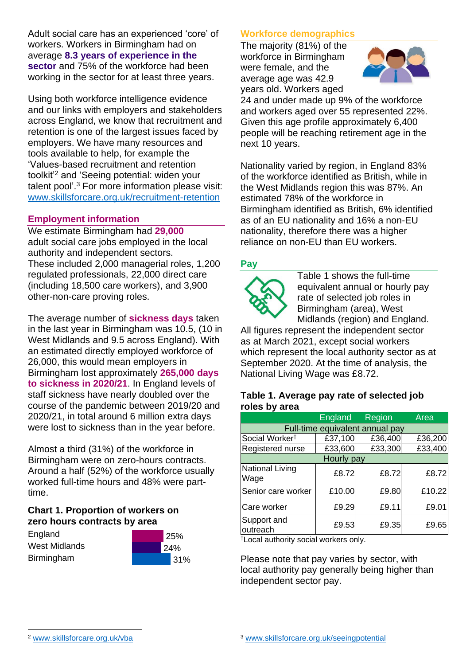Adult social care has an experienced 'core' of workers. Workers in Birmingham had on average **8.3 years of experience in the sector** and 75% of the workforce had been working in the sector for at least three years.

Using both workforce intelligence evidence and our links with employers and stakeholders across England, we know that recruitment and retention is one of the largest issues faced by employers. We have many resources and tools available to help, for example the 'Values-based recruitment and retention toolkit'<sup>2</sup> and 'Seeing potential: widen your talent pool'. <sup>3</sup> For more information please visit: [www.skillsforcare.org.uk/recruitment-retention](http://www.skillsforcare.org.uk/recruitment-retention)

## **Employment information**

We estimate Birmingham had **29,000** adult social care jobs employed in the local authority and independent sectors. These included 2,000 managerial roles, 1,200 regulated professionals, 22,000 direct care (including 18,500 care workers), and 3,900 other-non-care proving roles.

The average number of **sickness days** taken in the last year in Birmingham was 10.5, (10 in West Midlands and 9.5 across England). With an estimated directly employed workforce of 26,000, this would mean employers in Birmingham lost approximately **265,000 days to sickness in 2020/21**. In England levels of staff sickness have nearly doubled over the course of the pandemic between 2019/20 and 2020/21, in total around 6 million extra days were lost to sickness than in the year before.

Almost a third (31%) of the workforce in Birmingham were on zero-hours contracts. Around a half (52%) of the workforce usually worked full-time hours and 48% were parttime.

## **Chart 1. Proportion of workers on zero hours contracts by area**

**England** West Midlands **Birmingham** 



# **Workforce demographics**

The majority (81%) of the workforce in Birmingham were female, and the average age was 42.9 years old. Workers aged



24 and under made up 9% of the workforce and workers aged over 55 represented 22%. Given this age profile approximately 6,400 people will be reaching retirement age in the next 10 years.

Nationality varied by region, in England 83% of the workforce identified as British, while in the West Midlands region this was 87%. An estimated 78% of the workforce in Birmingham identified as British, 6% identified as of an EU nationality and 16% a non-EU nationality, therefore there was a higher reliance on non-EU than EU workers.

## **Pay**



Table 1 shows the full-time equivalent annual or hourly pay rate of selected job roles in Birmingham (area), West Midlands (region) and England.

All figures represent the independent sector as at March 2021, except social workers which represent the local authority sector as at September 2020. At the time of analysis, the National Living Wage was £8.72.

#### **Table 1. Average pay rate of selected job roles by area**

|                                 | England | Region  | Area    |
|---------------------------------|---------|---------|---------|
| Full-time equivalent annual pay |         |         |         |
| Social Worker <sup>t</sup>      | £37,100 | £36,400 | £36,200 |
| Registered nurse                | £33,600 | £33,300 | £33,400 |
| Hourly pay                      |         |         |         |
| National Living<br>Wage         | £8.72   | £8.72   | £8.72   |
| Senior care worker              | £10.00  | £9.80   | £10.22  |
| Care worker                     | £9.29   | £9.11   | £9.01   |
| Support and<br>outreach         | £9.53   | £9.35   | £9.65   |

†Local authority social workers only.

Please note that pay varies by sector, with local authority pay generally being higher than independent sector pay.

[www.skillsforcare.org.uk/vba](http://www.skillsforcare.org.uk/vba)